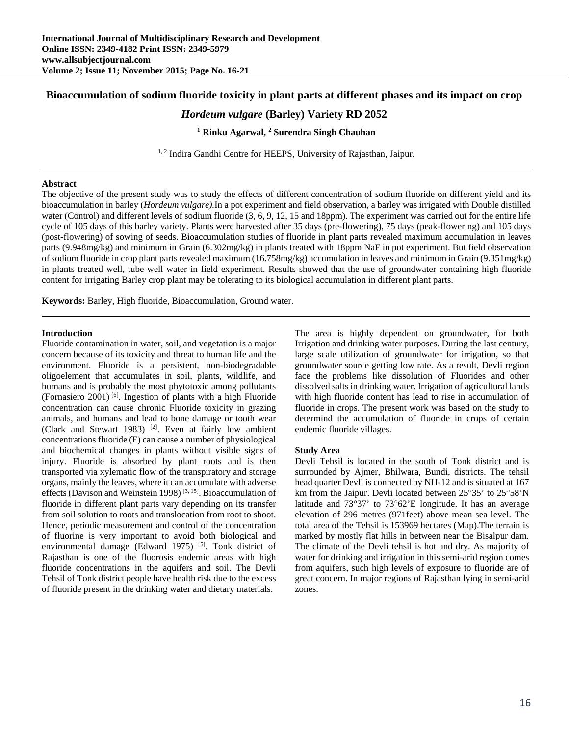# **Bioaccumulation of sodium fluoride toxicity in plant parts at different phases and its impact on crop**

# *Hordeum vulgare* **(Barley) Variety RD 2052**

# **1 Rinku Agarwal, 2 Surendra Singh Chauhan**

<sup>1, 2</sup> Indira Gandhi Centre for HEEPS, University of Rajasthan, Jaipur.

## **Abstract**

The objective of the present study was to study the effects of different concentration of sodium fluoride on different yield and its bioaccumulation in barley (*Hordeum vulgare).*In a pot experiment and field observation, a barley was irrigated with Double distilled water (Control) and different levels of sodium fluoride  $(3, 6, 9, 12, 15, 18)$  and 18ppm). The experiment was carried out for the entire life cycle of 105 days of this barley variety. Plants were harvested after 35 days (pre-flowering), 75 days (peak-flowering) and 105 days (post-flowering) of sowing of seeds. Bioaccumulation studies of fluoride in plant parts revealed maximum accumulation in leaves parts (9.948mg/kg) and minimum in Grain (6.302mg/kg) in plants treated with 18ppm NaF in pot experiment. But field observation of sodium fluoride in crop plant parts revealed maximum (16.758mg/kg) accumulation in leaves and minimum in Grain (9.351mg/kg) in plants treated well, tube well water in field experiment. Results showed that the use of groundwater containing high fluoride content for irrigating Barley crop plant may be tolerating to its biological accumulation in different plant parts.

**Keywords:** Barley, High fluoride, Bioaccumulation, Ground water.

## **Introduction**

Fluoride contamination in water, soil, and vegetation is a major concern because of its toxicity and threat to human life and the environment. Fluoride is a persistent, non-biodegradable oligoelement that accumulates in soil, plants, wildlife, and humans and is probably the most phytotoxic among pollutants (Fornasiero 2001) [6]. Ingestion of plants with a high Fluoride concentration can cause chronic Fluoride toxicity in grazing animals, and humans and lead to bone damage or tooth wear (Clark and Stewart 1983) [2]. Even at fairly low ambient concentrations fluoride (F) can cause a number of physiological and biochemical changes in plants without visible signs of injury. Fluoride is absorbed by plant roots and is then transported via xylematic flow of the transpiratory and storage organs, mainly the leaves, where it can accumulate with adverse effects (Davison and Weinstein 1998)<sup>[3, 15]</sup>. Bioaccumulation of fluoride in different plant parts vary depending on its transfer from soil solution to roots and translocation from root to shoot. Hence, periodic measurement and control of the concentration of fluorine is very important to avoid both biological and environmental damage (Edward 1975) <sup>[5]</sup>. Tonk district of Rajasthan is one of the fluorosis endemic areas with high fluoride concentrations in the aquifers and soil. The Devli Tehsil of Tonk district people have health risk due to the excess of fluoride present in the drinking water and dietary materials.

The area is highly dependent on groundwater, for both Irrigation and drinking water purposes. During the last century, large scale utilization of groundwater for irrigation, so that groundwater source getting low rate. As a result, Devli region face the problems like dissolution of Fluorides and other dissolved salts in drinking water. Irrigation of agricultural lands with high fluoride content has lead to rise in accumulation of fluoride in crops. The present work was based on the study to determind the accumulation of fluoride in crops of certain endemic fluoride villages.

## **Study Area**

Devli Tehsil is located in the south of Tonk district and is surrounded by Ajmer, Bhilwara, Bundi, districts. The tehsil head quarter Devli is connected by NH-12 and is situated at 167 km from the Jaipur. Devli located between 25°35' to 25°58'N latitude and 73°37' to 73°62'E longitude. It has an average elevation of 296 metres (971feet) above mean sea level. The total area of the Tehsil is 153969 hectares (Map).The terrain is marked by mostly flat hills in between near the Bisalpur dam. The climate of the Devli tehsil is hot and dry. As majority of water for drinking and irrigation in this semi-arid region comes from aquifers, such high levels of exposure to fluoride are of great concern. In major regions of Rajasthan lying in semi-arid zones.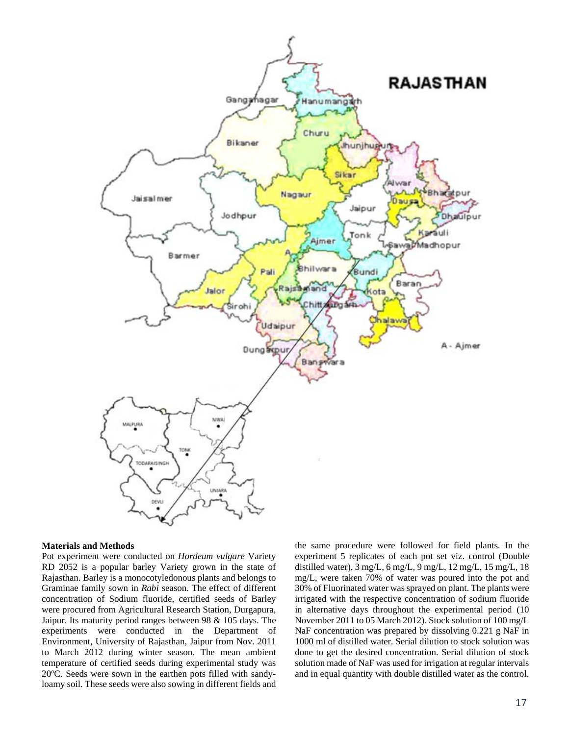

#### **Materials and Methods**

Pot experiment were conducted on *Hordeum vulgare* Variety RD 2052 is a popular barley Variety grown in the state of Rajasthan. Barley is a monocotyledonous plants and belongs to Graminae family sown in *Rabi* season. The effect of different concentration of Sodium fluoride, certified seeds of Barley were procured from Agricultural Research Station, Durgapura, Jaipur. Its maturity period ranges between 98 & 105 days. The experiments were conducted in the Department of Environment, University of Rajasthan, Jaipur from Nov. 2011 to March 2012 during winter season. The mean ambient temperature of certified seeds during experimental study was 20°C. Seeds were sown in the earthen pots filled with sandyloamy soil. These seeds were also sowing in different fields and

the same procedure were followed for field plants. In the experiment 5 replicates of each pot set viz. control (Double distilled water), 3 mg/L, 6 mg/L, 9 mg/L, 12 mg/L, 15 mg/L, 18 mg/L, were taken 70% of water was poured into the pot and 30% of Fluorinated water was sprayed on plant. The plants were irrigated with the respective concentration of sodium fluoride in alternative days throughout the experimental period (10 November 2011 to 05 March 2012). Stock solution of 100 mg/L NaF concentration was prepared by dissolving 0.221 g NaF in 1000 ml of distilled water. Serial dilution to stock solution was done to get the desired concentration. Serial dilution of stock solution made of NaF was used for irrigation at regular intervals and in equal quantity with double distilled water as the control.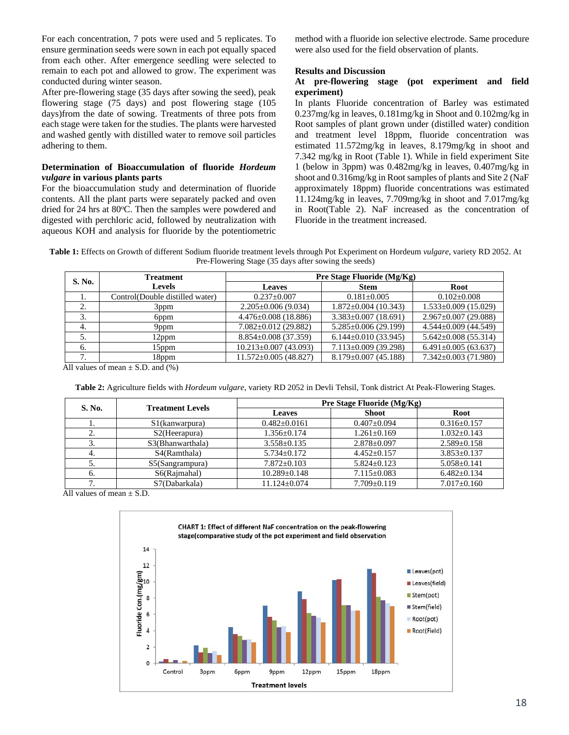For each concentration, 7 pots were used and 5 replicates. To ensure germination seeds were sown in each pot equally spaced from each other. After emergence seedling were selected to remain to each pot and allowed to grow. The experiment was conducted during winter season.

After pre-flowering stage (35 days after sowing the seed), peak flowering stage (75 days) and post flowering stage (105 days)from the date of sowing. Treatments of three pots from each stage were taken for the studies. The plants were harvested and washed gently with distilled water to remove soil particles adhering to them.

# **Determination of Bioaccumulation of fluoride** *Hordeum vulgare* **in various plants parts**

For the bioaccumulation study and determination of fluoride contents. All the plant parts were separately packed and oven dried for 24 hrs at 80°C. Then the samples were powdered and digested with perchloric acid, followed by neutralization with aqueous KOH and analysis for fluoride by the potentiometric

method with a fluoride ion selective electrode. Same procedure were also used for the field observation of plants.

#### **Results and Discussion**

# **At pre-flowering stage (pot experiment and field experiment)**

In plants Fluoride concentration of Barley was estimated 0.237mg/kg in leaves, 0.181mg/kg in Shoot and 0.102mg/kg in Root samples of plant grown under (distilled water) condition and treatment level 18ppm, fluoride concentration was estimated 11.572mg/kg in leaves, 8.179mg/kg in shoot and 7.342 mg/kg in Root (Table 1). While in field experiment Site 1 (below in 3ppm) was 0.482mg/kg in leaves, 0.407mg/kg in shoot and 0.316mg/kg in Root samples of plants and Site 2 (NaF approximately 18ppm) fluoride concentrations was estimated 11.124mg/kg in leaves, 7.709mg/kg in shoot and 7.017mg/kg in Root(Table 2). NaF increased as the concentration of Fluoride in the treatment increased.

**Table 1:** Effects on Growth of different Sodium fluoride treatment levels through Pot Experiment on Hordeum *vulgare*, variety RD 2052. At Pre-Flowering Stage (35 days after sowing the seeds)

| S. No. | <b>Treatment</b>                | Pre Stage Fluoride (Mg/Kg)  |                            |                            |  |  |
|--------|---------------------------------|-----------------------------|----------------------------|----------------------------|--|--|
|        | <b>Levels</b>                   | <b>Leaves</b>               | <b>Stem</b>                | Root                       |  |  |
| 1.     | Control(Double distilled water) | $0.237 \pm 0.007$           | $0.181 \pm 0.005$          | $0.102 + 0.008$            |  |  |
| 2.     | 3ppm                            | $2.205 \pm 0.006$ (9.034)   | $1.872 \pm 0.004$ (10.343) | $1.533 \pm 0.009$ (15.029) |  |  |
| 3.     | 6ppm                            | $4.476 \pm 0.008$ (18.886)  | $3.383 \pm 0.007$ (18.691) | $2.967 \pm 0.007$ (29.088) |  |  |
| 4.     | 9ppm                            | $7.082 \pm 0.012$ (29.882)  | $5.285 \pm 0.006$ (29.199) | $4.544 \pm 0.009$ (44.549) |  |  |
| 5.     | 12ppm                           | $8.854 \pm 0.008$ (37.359)  | $6.144 \pm 0.010(33.945)$  | $5.642 \pm 0.008$ (55.314) |  |  |
| 6.     | 15ppm                           | $10.213 \pm 0.007$ (43.093) | $7.113 \pm 0.009$ (39.298) | $6.491 \pm 0.005$ (63.637) |  |  |
| 7.     | 18ppm                           | $11.572 \pm 0.005$ (48.827) | $8.179 \pm 0.007$ (45.188) | $7.342 \pm 0.003$ (71.980) |  |  |

All values of mean  $\pm$  S.D. and (%)

**Table 2:** Agriculture fields with *Hordeum vulgare*, variety RD 2052 in Devli Tehsil, Tonk district At Peak-Flowering Stages.

| S. No. | <b>Treatment Levels</b>     | Pre Stage Fluoride (Mg/Kg) |                   |                   |  |
|--------|-----------------------------|----------------------------|-------------------|-------------------|--|
|        |                             | <b>Leaves</b>              | <b>Shoot</b>      | Root              |  |
| . .    | S <sub>1</sub> (kanwarpura) | $0.482 + 0.0161$           | $0.407 \pm 0.094$ | $0.316 \pm 0.157$ |  |
| ۷.     | $S2$ (Heerapura)            | $1.356 \pm 0.174$          | $1.261 \pm 0.169$ | $1.032 \pm 0.143$ |  |
| 3.     | S3(Bhanwarthala)            | $3.558 \pm 0.135$          | $2.878 \pm 0.097$ | $2.589 \pm 0.158$ |  |
| -4.    | S4(Ramthala)                | $5.734 \pm 0.172$          | $4.452 \pm 0.157$ | $3.853 \pm 0.137$ |  |
| 5.     | S5(Sangrampura)             | $7.872+0.103$              | $5.824+0.123$     | $5.058 \pm 0.141$ |  |
| - 6.   | S6(Rajmahal)                | $10.289 \pm 0.148$         | $7.115 \pm 0.083$ | $6.482 \pm 0.134$ |  |
|        | S7(Dabarkala)               | $11.124 \pm 0.074$         | $7.709 \pm 0.119$ | $7.017 \pm 0.160$ |  |

All values of mean  $\pm$  S.D.

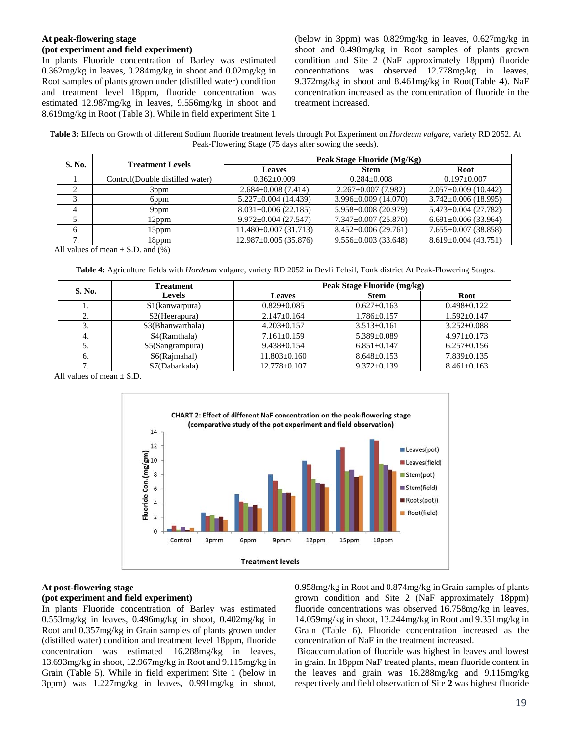## **At peak-flowering stage (pot experiment and field experiment)**

In plants Fluoride concentration of Barley was estimated 0.362mg/kg in leaves, 0.284mg/kg in shoot and 0.02mg/kg in Root samples of plants grown under (distilled water) condition and treatment level 18ppm, fluoride concentration was estimated 12.987mg/kg in leaves, 9.556mg/kg in shoot and 8.619mg/kg in Root (Table 3). While in field experiment Site 1

(below in 3ppm) was 0.829mg/kg in leaves, 0.627mg/kg in shoot and 0.498mg/kg in Root samples of plants grown condition and Site 2 (NaF approximately 18ppm) fluoride concentrations was observed 12.778mg/kg in leaves, 9.372mg/kg in shoot and 8.461mg/kg in Root(Table 4). NaF concentration increased as the concentration of fluoride in the treatment increased.

**Table 3:** Effects on Growth of different Sodium fluoride treatment levels through Pot Experiment on *Hordeum vulgare*, variety RD 2052. At Peak-Flowering Stage (75 days after sowing the seeds).

| S. No. | <b>Treatment Levels</b>         | Peak Stage Fluoride (Mg/Kg) |                            |                            |  |  |
|--------|---------------------------------|-----------------------------|----------------------------|----------------------------|--|--|
|        |                                 | <b>Leaves</b>               | <b>Stem</b>                | Root                       |  |  |
| .,     | Control(Double distilled water) | $0.362+0.009$               | $0.284 + 0.008$            | $0.197+0.007$              |  |  |
| 2.     | 3 <sub>ppm</sub>                | $2.684 \pm 0.008(7.414)$    | $2.267 \pm 0.007$ (7.982)  | $2.057 \pm 0.009$ (10.442) |  |  |
| 3.     | 6ppm                            | $5.227 \pm 0.004$ (14.439)  | $3.996 \pm 0.009$ (14.070) | $3.742 \pm 0.006$ (18.995) |  |  |
| 4.     | 9ppm                            | $8.031 \pm 0.006$ (22.185)  | $5.958 \pm 0.008$ (20.979) | $5.473 \pm 0.004$ (27.782) |  |  |
| 5.     | l 2ppm                          | $9.972 \pm 0.004$ (27.547)  | $7.347 \pm 0.007$ (25.870) | $6.691 \pm 0.006$ (33.964) |  |  |
| 6.     | 15ppm                           | $11.480 \pm 0.007(31.713)$  | $8.452 \pm 0.006(29.761)$  | $7.655 \pm 0.007$ (38.858) |  |  |
| ⇁      | l 8ppm                          | $12.987 \pm 0.005(35.876)$  | $9.556 \pm 0.003$ (33.648) | $8.619 \pm 0.004$ (43.751) |  |  |

All values of mean  $\pm$  S.D. and (%)

**Table 4:** Agriculture fields with *Hordeum* vulgare, variety RD 2052 in Devli Tehsil, Tonk district At Peak-Flowering Stages.

| S. No. | <b>Treatment</b>            | Peak Stage Fluoride (mg/kg) |                   |                   |  |
|--------|-----------------------------|-----------------------------|-------------------|-------------------|--|
|        | <b>Levels</b>               | <b>Leaves</b>               | <b>Stem</b>       | Root              |  |
| . .    | S <sub>1</sub> (kanwarpura) | $0.829 \pm 0.085$           | $0.627 \pm 0.163$ | $0.498 \pm 0.122$ |  |
| ٠.     | S <sub>2</sub> (Heerapura)  | $2.147 \pm 0.164$           | $1.786 \pm 0.157$ | $1.592 \pm 0.147$ |  |
|        | S3(Bhanwarthala)            | $4.203 \pm 0.157$           | $3.513 \pm 0.161$ | $3.252 \pm 0.088$ |  |
| 4.     | S4(Ramthala)                | $7.161 \pm 0.159$           | $5.389 \pm 0.089$ | $4.971 \pm 0.173$ |  |
| J.     | S5(Sangrampura)             | $9.438 \pm 0.154$           | $6.851 \pm 0.147$ | $6.257 \pm 0.156$ |  |
| 6.     | S6(Rajmahal)                | $11.803 \pm 0.160$          | $8.648 \pm 0.153$ | $7.839 \pm 0.135$ |  |
|        | S7(Dabarkala)               | $12.778 \pm 0.107$          | $9.372 \pm 0.139$ | $8.461 \pm 0.163$ |  |

All values of mean  $+$  S.D.



# **At post-flowering stage (pot experiment and field experiment)**

In plants Fluoride concentration of Barley was estimated 0.553mg/kg in leaves, 0.496mg/kg in shoot, 0.402mg/kg in Root and 0.357mg/kg in Grain samples of plants grown under (distilled water) condition and treatment level 18ppm, fluoride concentration was estimated 16.288mg/kg in leaves, 13.693mg/kg in shoot, 12.967mg/kg in Root and 9.115mg/kg in Grain (Table 5). While in field experiment Site 1 (below in 3ppm) was 1.227mg/kg in leaves, 0.991mg/kg in shoot,

0.958mg/kg in Root and 0.874mg/kg in Grain samples of plants grown condition and Site 2 (NaF approximately 18ppm) fluoride concentrations was observed 16.758mg/kg in leaves, 14.059mg/kg in shoot, 13.244mg/kg in Root and 9.351mg/kg in Grain (Table 6). Fluoride concentration increased as the concentration of NaF in the treatment increased.

 Bioaccumulation of fluoride was highest in leaves and lowest in grain. In 18ppm NaF treated plants, mean fluoride content in the leaves and grain was 16.288mg/kg and 9.115mg/kg respectively and field observation of Site **2** was highest fluoride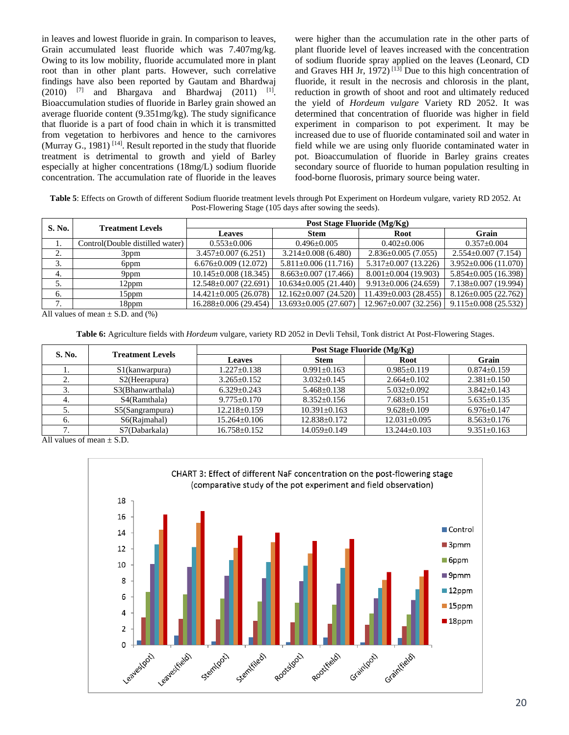in leaves and lowest fluoride in grain. In comparison to leaves, Grain accumulated least fluoride which was 7.407mg/kg. Owing to its low mobility, fluoride accumulated more in plant root than in other plant parts. However, such correlative findings have also been reported by Gautam and Bhardwaj  $(2010)$  <sup>[7]</sup> and Bhargava and Bhardwaj  $(2011)$  <sup>[1]</sup>. Bioaccumulation studies of fluoride in Barley grain showed an average fluoride content (9.351mg/kg). The study significance that fluoride is a part of food chain in which it is transmitted from vegetation to herbivores and hence to the carnivores (Murray G., 1981)  $[14]$ . Result reported in the study that fluoride treatment is detrimental to growth and yield of Barley especially at higher concentrations (18mg/L) sodium fluoride concentration. The accumulation rate of fluoride in the leaves

were higher than the accumulation rate in the other parts of plant fluoride level of leaves increased with the concentration of sodium fluoride spray applied on the leaves (Leonard, CD and Graves HH Jr, 1972)<sup>[13]</sup> Due to this high concentration of fluoride, it result in the necrosis and chlorosis in the plant, reduction in growth of shoot and root and ultimately reduced the yield of *Hordeum vulgare* Variety RD 2052. It was determined that concentration of fluoride was higher in field experiment in comparison to pot experiment. It may be increased due to use of fluoride contaminated soil and water in field while we are using only fluoride contaminated water in pot. Bioaccumulation of fluoride in Barley grains creates secondary source of fluoride to human population resulting in food-borne fluorosis, primary source being water.

**Table 5**: Effects on Growth of different Sodium fluoride treatment levels through Pot Experiment on Hordeum vulgare, variety RD 2052. At Post-Flowering Stage (105 days after sowing the seeds).

| S. No.                                                         | <b>Treatment Levels</b>         | Post Stage Fluoride (Mg/Kg) |                             |                             |                            |  |
|----------------------------------------------------------------|---------------------------------|-----------------------------|-----------------------------|-----------------------------|----------------------------|--|
|                                                                |                                 | <b>Leaves</b>               | <b>Stem</b>                 | Root                        | Grain                      |  |
| 1.                                                             | Control(Double distilled water) | $0.553 \pm 0.006$           | $0.496 \pm 0.005$           | $0.402 \pm 0.006$           | $0.357 \pm 0.004$          |  |
| $\bigcap$<br><u>، ،</u>                                        | 3ppm                            | $3.457 \pm 0.007(6.251)$    | $3.214 \pm 0.008$ (6.480)   | $2.836 \pm 0.005$ (7.055)   | $2.554 \pm 0.007(7.154)$   |  |
| 3.                                                             | 6ppm                            | $6.676 \pm 0.009$ (12.072)  | $5.811 \pm 0.006$ (11.716)  | $5.317 \pm 0.007$ (13.226)  | $3.952 \pm 0.006(11.070)$  |  |
| 4.                                                             | 9ppm                            | $10.145 \pm 0.008$ (18.345) | $8.663 \pm 0.007$ (17.466)  | $8.001 \pm 0.004$ (19.903)  | $5.854 \pm 0.005$ (16.398) |  |
| 5.                                                             | 12ppm                           | $12.548 \pm 0.007$ (22.691) | $10.634 \pm 0.005(21.440)$  | $9.913 \pm 0.006$ (24.659)  | $7.138 \pm 0.007$ (19.994) |  |
| 6.                                                             | $15$ ppm                        | $14.421 \pm 0.005(26.078)$  | $12.162 \pm 0.007$ (24.520) | $11.439 \pm 0.003$ (28.455) | $8.126 \pm 0.005(22.762)$  |  |
| $\mathbf{r}$<br>$\overline{\phantom{a}}$                       | 18ppm                           | $16.288 \pm 0.006$ (29.454) | $13.693 \pm 0.005$ (27.607) | $12.967 \pm 0.007$ (32.256) | $9.115 \pm 0.008$ (25.532) |  |
| All values of mass $\in$ $\mathbb{R}$ $\mathbb{R}$ and $(0/3)$ |                                 |                             |                             |                             |                            |  |

All values of mean  $\pm$  S.D. and (%)

**Table 6:** Agriculture fields with *Hordeum* vulgare, variety RD 2052 in Devli Tehsil, Tonk district At Post-Flowering Stages.

| S. No.     | <b>Treatment Levels</b>     | Post Stage Fluoride (Mg/Kg) |                    |                    |                   |
|------------|-----------------------------|-----------------------------|--------------------|--------------------|-------------------|
|            |                             | <b>Leaves</b>               | <b>Stem</b>        | <b>Root</b>        | Grain             |
|            | S <sub>1</sub> (kanwarpura) | $1.227 \pm 0.138$           | $0.991 \pm 0.163$  | $0.985 \pm 0.119$  | $0.874 \pm 0.159$ |
| <u>، ،</u> | S2(Heerapura)               | $3.265 \pm 0.152$           | $3.032+0.145$      | $2.664 \pm 0.102$  | $2.381 \pm 0.150$ |
| Ć.         | S3(Bhanwarthala)            | $6.329 \pm 0.243$           | $5.468 \pm 0.138$  | $5.032 \pm 0.092$  | $3.842 \pm 0.143$ |
|            | S4(Ramthala)                | $9.775 \pm 0.170$           | $8.352 \pm 0.156$  | $7.683+0.151$      | $5.635 \pm 0.135$ |
|            | S5(Sangrampura)             | $12.218 \pm 0.159$          | $10.391 + 0.163$   | $9.628 + 0.109$    | $6.976 \pm 0.147$ |
|            | S6(Rajmahal)                | $15.264 \pm 0.106$          | $12.838 \pm 0.172$ | $12.031 \pm 0.095$ | $8.563 \pm 0.176$ |
|            | S7(Dabarkala)               | $16.758 \pm 0.152$          | $14.059 \pm 0.149$ | $13.244 \pm 0.103$ | $9.351 \pm 0.163$ |

All values of mean  $\pm$  S.D.